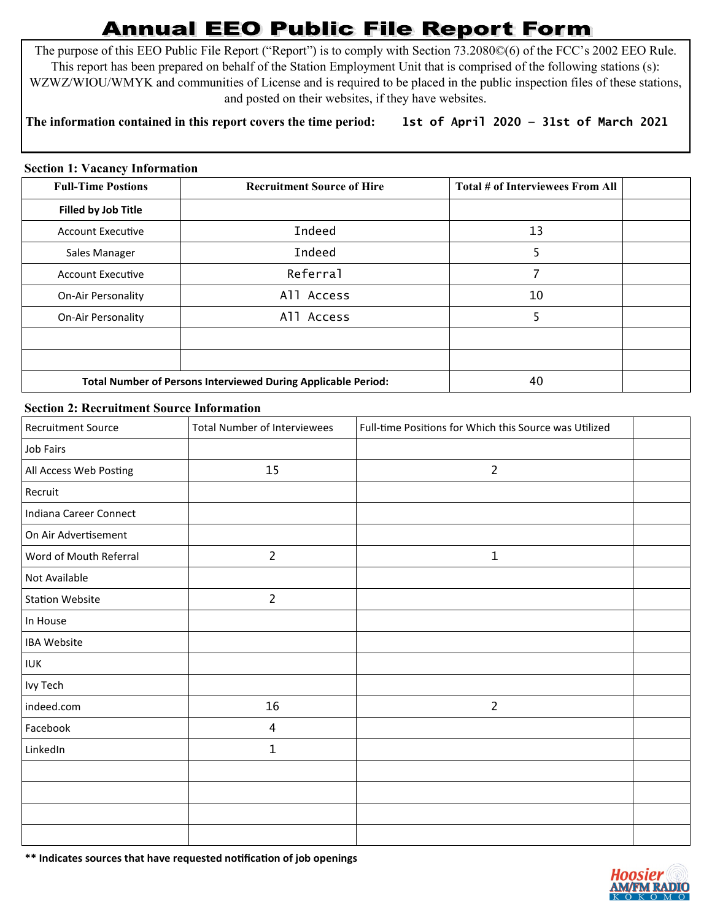## **Annual EEO Public File Report Form**

The purpose of this EEO Public File Report ("Report") is to comply with Section 73.2080©(6) of the FCC's 2002 EEO Rule. This report has been prepared on behalf of the Station Employment Unit that is comprised of the following stations (s): WZWZ/WIOU/WMYK and communities of License and is required to be placed in the public inspection files of these stations, and posted on their websites, if they have websites.

## **The information contained in this report covers the time period: 1st of April 2020 — 31st of March 2021**

## **Section 1: Vacancy Information**

| <b>Full-Time Postions</b>                                     | <b>Recruitment Source of Hire</b> | Total # of Interviewees From All |  |
|---------------------------------------------------------------|-----------------------------------|----------------------------------|--|
| Filled by Job Title                                           |                                   |                                  |  |
| <b>Account Executive</b>                                      | <b>Indeed</b>                     | 13                               |  |
| Sales Manager                                                 | <b>Indeed</b>                     | 5                                |  |
| <b>Account Executive</b>                                      | Referral                          |                                  |  |
| <b>On-Air Personality</b>                                     | All Access                        | 10                               |  |
| <b>On-Air Personality</b>                                     | All Access                        | 5                                |  |
|                                                               |                                   |                                  |  |
|                                                               |                                   |                                  |  |
| Total Number of Persons Interviewed During Applicable Period: |                                   | 40                               |  |

## **Section 2: Recruitment Source Information**

| <b>Recruitment Source</b> | <b>Total Number of Interviewees</b> | Full-time Positions for Which this Source was Utilized |  |
|---------------------------|-------------------------------------|--------------------------------------------------------|--|
| Job Fairs                 |                                     |                                                        |  |
| All Access Web Posting    | 15                                  | $\overline{2}$                                         |  |
| Recruit                   |                                     |                                                        |  |
| Indiana Career Connect    |                                     |                                                        |  |
| On Air Advertisement      |                                     |                                                        |  |
| Word of Mouth Referral    | $\overline{2}$                      | $\mathbf{1}$                                           |  |
| Not Available             |                                     |                                                        |  |
| <b>Station Website</b>    | $\overline{2}$                      |                                                        |  |
| In House                  |                                     |                                                        |  |
| <b>IBA Website</b>        |                                     |                                                        |  |
| <b>IUK</b>                |                                     |                                                        |  |
| Ivy Tech                  |                                     |                                                        |  |
| indeed.com                | 16                                  | $\overline{2}$                                         |  |
| Facebook                  | 4                                   |                                                        |  |
| LinkedIn                  | 1                                   |                                                        |  |
|                           |                                     |                                                        |  |
|                           |                                     |                                                        |  |
|                           |                                     |                                                        |  |
|                           |                                     |                                                        |  |

**\*\* Indicates sources that have requested notification of job openings**